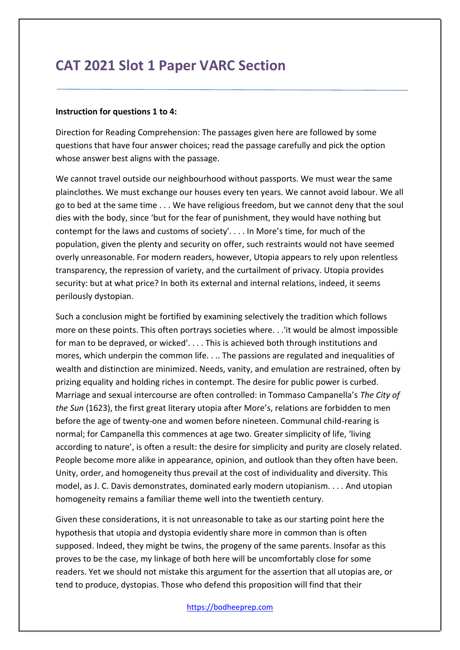# **CAT 2021 Slot 1 Paper VARC Section**

#### **Instruction for questions 1 to 4:**

Direction for Reading Comprehension: The passages given here are followed by some questions that have four answer choices; read the passage carefully and pick the option whose answer best aligns with the passage.

We cannot travel outside our neighbourhood without passports. We must wear the same plainclothes. We must exchange our houses every ten years. We cannot avoid labour. We all go to bed at the same time . . . We have religious freedom, but we cannot deny that the soul dies with the body, since 'but for the fear of punishment, they would have nothing but contempt for the laws and customs of society'. . . . In More's time, for much of the population, given the plenty and security on offer, such restraints would not have seemed overly unreasonable. For modern readers, however, Utopia appears to rely upon relentless transparency, the repression of variety, and the curtailment of privacy. Utopia provides security: but at what price? In both its external and internal relations, indeed, it seems perilously dystopian.

Such a conclusion might be fortified by examining selectively the tradition which follows more on these points. This often portrays societies where. . .'it would be almost impossible for man to be depraved, or wicked'. . . . This is achieved both through institutions and mores, which underpin the common life. . .. The passions are regulated and inequalities of wealth and distinction are minimized. Needs, vanity, and emulation are restrained, often by prizing equality and holding riches in contempt. The desire for public power is curbed. Marriage and sexual intercourse are often controlled: in Tommaso Campanella's *The City of the Sun* (1623), the first great literary utopia after More's, relations are forbidden to men before the age of twenty-one and women before nineteen. Communal child-rearing is normal; for Campanella this commences at age two. Greater simplicity of life, 'living according to nature', is often a result: the desire for simplicity and purity are closely related. People become more alike in appearance, opinion, and outlook than they often have been. Unity, order, and homogeneity thus prevail at the cost of individuality and diversity. This model, as J. C. Davis demonstrates, dominated early modern utopianism. . . . And utopian homogeneity remains a familiar theme well into the twentieth century.

Given these considerations, it is not unreasonable to take as our starting point here the hypothesis that utopia and dystopia evidently share more in common than is often supposed. Indeed, they might be twins, the progeny of the same parents. Insofar as this proves to be the case, my linkage of both here will be uncomfortably close for some readers. Yet we should not mistake this argument for the assertion that all utopias are, or tend to produce, dystopias. Those who defend this proposition will find that their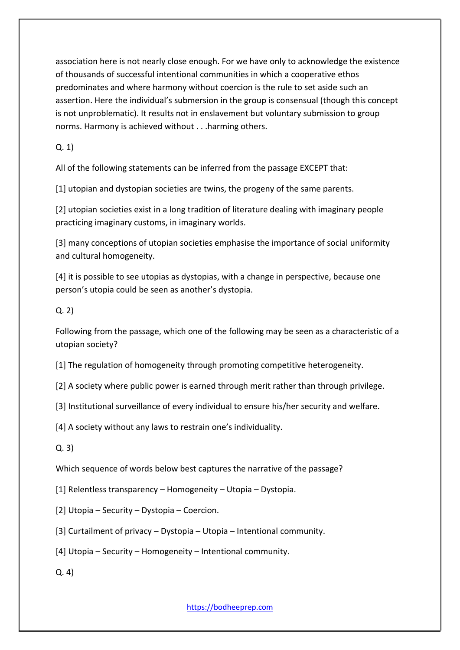association here is not nearly close enough. For we have only to acknowledge the existence of thousands of successful intentional communities in which a cooperative ethos predominates and where harmony without coercion is the rule to set aside such an assertion. Here the individual's submersion in the group is consensual (though this concept is not unproblematic). It results not in enslavement but voluntary submission to group norms. Harmony is achieved without . . .harming others.

Q. 1)

All of the following statements can be inferred from the passage EXCEPT that:

[1] utopian and dystopian societies are twins, the progeny of the same parents.

[2] utopian societies exist in a long tradition of literature dealing with imaginary people practicing imaginary customs, in imaginary worlds.

[3] many conceptions of utopian societies emphasise the importance of social uniformity and cultural homogeneity.

[4] it is possible to see utopias as dystopias, with a change in perspective, because one person's utopia could be seen as another's dystopia.

Q. 2)

Following from the passage, which one of the following may be seen as a characteristic of a utopian society?

[1] The regulation of homogeneity through promoting competitive heterogeneity.

[2] A society where public power is earned through merit rather than through privilege.

[3] Institutional surveillance of every individual to ensure his/her security and welfare.

[4] A society without any laws to restrain one's individuality.

Q. 3)

Which sequence of words below best captures the narrative of the passage?

[1] Relentless transparency – Homogeneity – Utopia – Dystopia.

[2] Utopia – Security – Dystopia – Coercion.

[3] Curtailment of privacy – Dystopia – Utopia – Intentional community.

[4] Utopia – Security – Homogeneity – Intentional community.

Q. 4)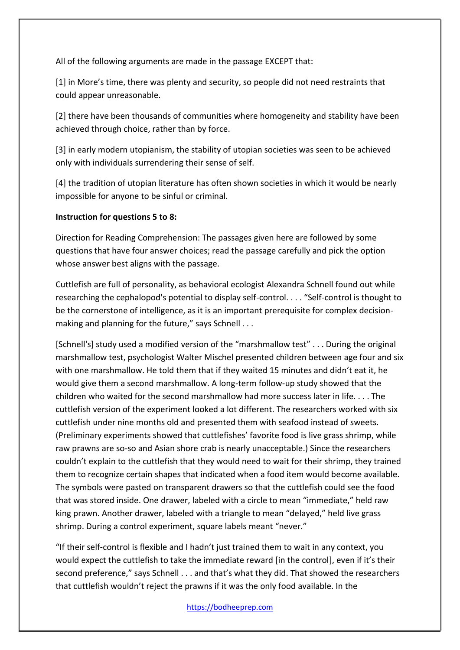All of the following arguments are made in the passage EXCEPT that:

[1] in More's time, there was plenty and security, so people did not need restraints that could appear unreasonable.

[2] there have been thousands of communities where homogeneity and stability have been achieved through choice, rather than by force.

[3] in early modern utopianism, the stability of utopian societies was seen to be achieved only with individuals surrendering their sense of self.

[4] the tradition of utopian literature has often shown societies in which it would be nearly impossible for anyone to be sinful or criminal.

### **Instruction for questions 5 to 8:**

Direction for Reading Comprehension: The passages given here are followed by some questions that have four answer choices; read the passage carefully and pick the option whose answer best aligns with the passage.

Cuttlefish are full of personality, as behavioral ecologist Alexandra Schnell found out while researching the cephalopod's potential to display self-control. . . . "Self-control is thought to be the cornerstone of intelligence, as it is an important prerequisite for complex decisionmaking and planning for the future," says Schnell . . .

[Schnell's] study used a modified version of the "marshmallow test" . . . During the original marshmallow test, psychologist Walter Mischel presented children between age four and six with one marshmallow. He told them that if they waited 15 minutes and didn't eat it, he would give them a second marshmallow. A long-term follow-up study showed that the children who waited for the second marshmallow had more success later in life. . . . The cuttlefish version of the experiment looked a lot different. The researchers worked with six cuttlefish under nine months old and presented them with seafood instead of sweets. (Preliminary experiments showed that cuttlefishes' favorite food is live grass shrimp, while raw prawns are so-so and Asian shore crab is nearly unacceptable.) Since the researchers couldn't explain to the cuttlefish that they would need to wait for their shrimp, they trained them to recognize certain shapes that indicated when a food item would become available. The symbols were pasted on transparent drawers so that the cuttlefish could see the food that was stored inside. One drawer, labeled with a circle to mean "immediate," held raw king prawn. Another drawer, labeled with a triangle to mean "delayed," held live grass shrimp. During a control experiment, square labels meant "never."

"If their self-control is flexible and I hadn't just trained them to wait in any context, you would expect the cuttlefish to take the immediate reward [in the control], even if it's their second preference," says Schnell . . . and that's what they did. That showed the researchers that cuttlefish wouldn't reject the prawns if it was the only food available. In the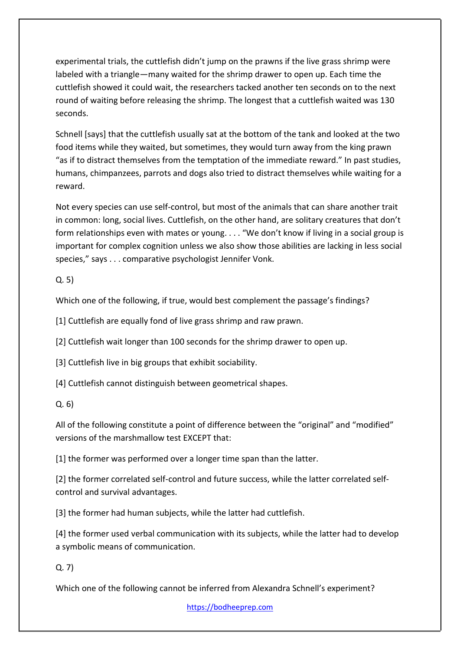experimental trials, the cuttlefish didn't jump on the prawns if the live grass shrimp were labeled with a triangle—many waited for the shrimp drawer to open up. Each time the cuttlefish showed it could wait, the researchers tacked another ten seconds on to the next round of waiting before releasing the shrimp. The longest that a cuttlefish waited was 130 seconds.

Schnell [says] that the cuttlefish usually sat at the bottom of the tank and looked at the two food items while they waited, but sometimes, they would turn away from the king prawn "as if to distract themselves from the temptation of the immediate reward." In past studies, humans, chimpanzees, parrots and dogs also tried to distract themselves while waiting for a reward.

Not every species can use self-control, but most of the animals that can share another trait in common: long, social lives. Cuttlefish, on the other hand, are solitary creatures that don't form relationships even with mates or young. . . . "We don't know if living in a social group is important for complex cognition unless we also show those abilities are lacking in less social species," says . . . comparative psychologist Jennifer Vonk.

### Q. 5)

Which one of the following, if true, would best complement the passage's findings?

[1] Cuttlefish are equally fond of live grass shrimp and raw prawn.

[2] Cuttlefish wait longer than 100 seconds for the shrimp drawer to open up.

[3] Cuttlefish live in big groups that exhibit sociability.

[4] Cuttlefish cannot distinguish between geometrical shapes.

### Q. 6)

All of the following constitute a point of difference between the "original" and "modified" versions of the marshmallow test EXCEPT that:

[1] the former was performed over a longer time span than the latter.

[2] the former correlated self-control and future success, while the latter correlated selfcontrol and survival advantages.

[3] the former had human subjects, while the latter had cuttlefish.

[4] the former used verbal communication with its subjects, while the latter had to develop a symbolic means of communication.

Q. 7)

Which one of the following cannot be inferred from Alexandra Schnell's experiment?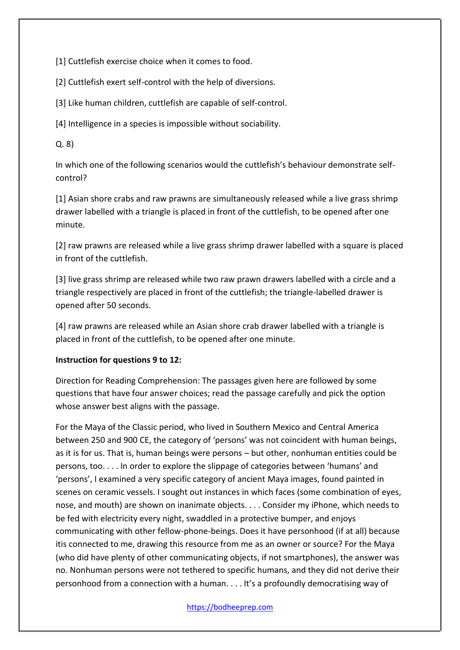[1] Cuttlefish exercise choice when it comes to food.

[2] Cuttlefish exert self-control with the help of diversions.

[3] Like human children, cuttlefish are capable of self-control.

[4] Intelligence in a species is impossible without sociability.

### Q. 8)

In which one of the following scenarios would the cuttlefish's behaviour demonstrate selfcontrol?

[1] Asian shore crabs and raw prawns are simultaneously released while a live grass shrimp drawer labelled with a triangle is placed in front of the cuttlefish, to be opened after one minute.

[2] raw prawns are released while a live grass shrimp drawer labelled with a square is placed in front of the cuttlefish.

[3] live grass shrimp are released while two raw prawn drawers labelled with a circle and a triangle respectively are placed in front of the cuttlefish; the triangle-labelled drawer is opened after 50 seconds.

[4] raw prawns are released while an Asian shore crab drawer labelled with a triangle is placed in front of the cuttlefish, to be opened after one minute.

### **Instruction for questions 9 to 12:**

Direction for Reading Comprehension: The passages given here are followed by some questions that have four answer choices; read the passage carefully and pick the option whose answer best aligns with the passage.

For the Maya of the Classic period, who lived in Southern Mexico and Central America between 250 and 900 CE, the category of 'persons' was not coincident with human beings, as it is for us. That is, human beings were persons – but other, nonhuman entities could be persons, too. . . . In order to explore the slippage of categories between 'humans' and 'persons', I examined a very specific category of ancient Maya images, found painted in scenes on ceramic vessels. I sought out instances in which faces (some combination of eyes, nose, and mouth) are shown on inanimate objects. . . . Consider my iPhone, which needs to be fed with electricity every night, swaddled in a protective bumper, and enjoys communicating with other fellow-phone-beings. Does it have personhood (if at all) because itis connected to me, drawing this resource from me as an owner or source? For the Maya (who did have plenty of other communicating objects, if not smartphones), the answer was no. Nonhuman persons were not tethered to specific humans, and they did not derive their personhood from a connection with a human. . . . It's a profoundly democratising way of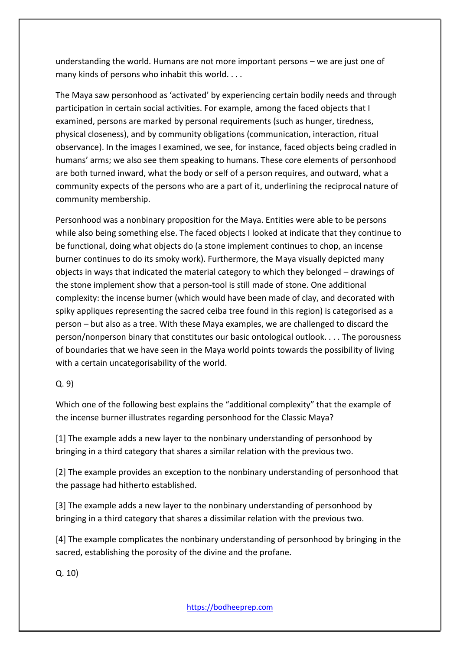understanding the world. Humans are not more important persons – we are just one of many kinds of persons who inhabit this world. . . .

The Maya saw personhood as 'activated' by experiencing certain bodily needs and through participation in certain social activities. For example, among the faced objects that I examined, persons are marked by personal requirements (such as hunger, tiredness, physical closeness), and by community obligations (communication, interaction, ritual observance). In the images I examined, we see, for instance, faced objects being cradled in humans' arms; we also see them speaking to humans. These core elements of personhood are both turned inward, what the body or self of a person requires, and outward, what a community expects of the persons who are a part of it, underlining the reciprocal nature of community membership.

Personhood was a nonbinary proposition for the Maya. Entities were able to be persons while also being something else. The faced objects I looked at indicate that they continue to be functional, doing what objects do (a stone implement continues to chop, an incense burner continues to do its smoky work). Furthermore, the Maya visually depicted many objects in ways that indicated the material category to which they belonged – drawings of the stone implement show that a person-tool is still made of stone. One additional complexity: the incense burner (which would have been made of clay, and decorated with spiky appliques representing the sacred ceiba tree found in this region) is categorised as a person – but also as a tree. With these Maya examples, we are challenged to discard the person/nonperson binary that constitutes our basic ontological outlook. . . . The porousness of boundaries that we have seen in the Maya world points towards the possibility of living with a certain uncategorisability of the world.

Q. 9)

Which one of the following best explains the "additional complexity" that the example of the incense burner illustrates regarding personhood for the Classic Maya?

[1] The example adds a new layer to the nonbinary understanding of personhood by bringing in a third category that shares a similar relation with the previous two.

[2] The example provides an exception to the nonbinary understanding of personhood that the passage had hitherto established.

[3] The example adds a new layer to the nonbinary understanding of personhood by bringing in a third category that shares a dissimilar relation with the previous two.

[4] The example complicates the nonbinary understanding of personhood by bringing in the sacred, establishing the porosity of the divine and the profane.

Q. 10)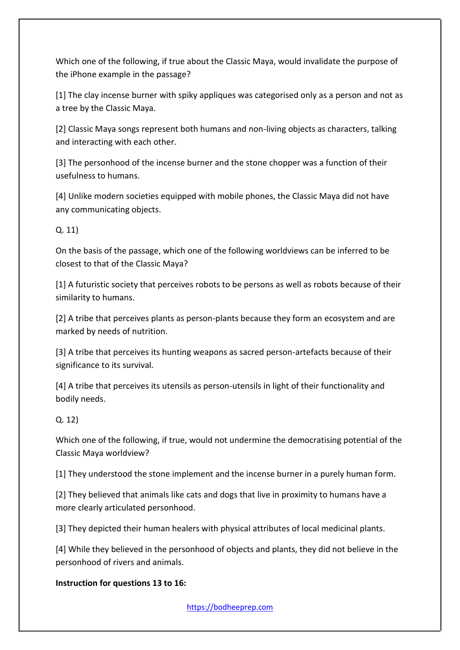Which one of the following, if true about the Classic Maya, would invalidate the purpose of the iPhone example in the passage?

[1] The clay incense burner with spiky appliques was categorised only as a person and not as a tree by the Classic Maya.

[2] Classic Maya songs represent both humans and non-living objects as characters, talking and interacting with each other.

[3] The personhood of the incense burner and the stone chopper was a function of their usefulness to humans.

[4] Unlike modern societies equipped with mobile phones, the Classic Maya did not have any communicating objects.

### Q. 11)

On the basis of the passage, which one of the following worldviews can be inferred to be closest to that of the Classic Maya?

[1] A futuristic society that perceives robots to be persons as well as robots because of their similarity to humans.

[2] A tribe that perceives plants as person-plants because they form an ecosystem and are marked by needs of nutrition.

[3] A tribe that perceives its hunting weapons as sacred person-artefacts because of their significance to its survival.

[4] A tribe that perceives its utensils as person-utensils in light of their functionality and bodily needs.

### Q. 12)

Which one of the following, if true, would not undermine the democratising potential of the Classic Maya worldview?

[1] They understood the stone implement and the incense burner in a purely human form.

[2] They believed that animals like cats and dogs that live in proximity to humans have a more clearly articulated personhood.

[3] They depicted their human healers with physical attributes of local medicinal plants.

[4] While they believed in the personhood of objects and plants, they did not believe in the personhood of rivers and animals.

# **Instruction for questions 13 to 16:**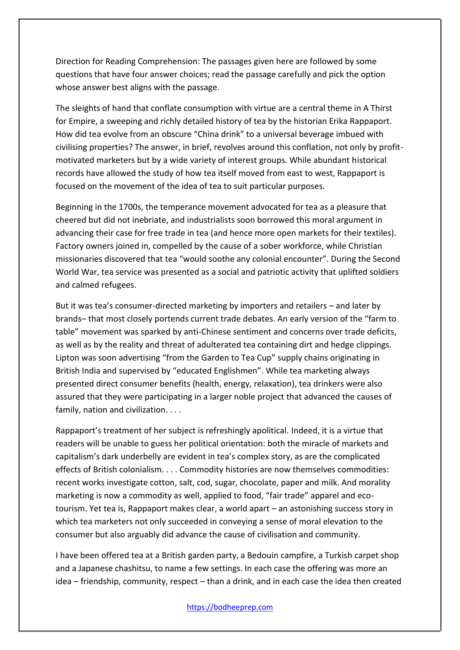Direction for Reading Comprehension: The passages given here are followed by some questions that have four answer choices; read the passage carefully and pick the option whose answer best aligns with the passage.

The sleights of hand that conflate consumption with virtue are a central theme in A Thirst for Empire, a sweeping and richly detailed history of tea by the historian Erika Rappaport. How did tea evolve from an obscure "China drink" to a universal beverage imbued with civilising properties? The answer, in brief, revolves around this conflation, not only by profitmotivated marketers but by a wide variety of interest groups. While abundant historical records have allowed the study of how tea itself moved from east to west, Rappaport is focused on the movement of the idea of tea to suit particular purposes.

Beginning in the 1700s, the temperance movement advocated for tea as a pleasure that cheered but did not inebriate, and industrialists soon borrowed this moral argument in advancing their case for free trade in tea (and hence more open markets for their textiles). Factory owners joined in, compelled by the cause of a sober workforce, while Christian missionaries discovered that tea "would soothe any colonial encounter". During the Second World War, tea service was presented as a social and patriotic activity that uplifted soldiers and calmed refugees.

But it was tea's consumer-directed marketing by importers and retailers – and later by brands– that most closely portends current trade debates. An early version of the "farm to table" movement was sparked by anti-Chinese sentiment and concerns over trade deficits, as well as by the reality and threat of adulterated tea containing dirt and hedge clippings. Lipton was soon advertising "from the Garden to Tea Cup" supply chains originating in British India and supervised by "educated Englishmen". While tea marketing always presented direct consumer benefits (health, energy, relaxation), tea drinkers were also assured that they were participating in a larger noble project that advanced the causes of family, nation and civilization. . . .

Rappaport's treatment of her subject is refreshingly apolitical. Indeed, it is a virtue that readers will be unable to guess her political orientation: both the miracle of markets and capitalism's dark underbelly are evident in tea's complex story, as are the complicated effects of British colonialism. . . . Commodity histories are now themselves commodities: recent works investigate cotton, salt, cod, sugar, chocolate, paper and milk. And morality marketing is now a commodity as well, applied to food, "fair trade" apparel and ecotourism. Yet tea is, Rappaport makes clear, a world apart – an astonishing success story in which tea marketers not only succeeded in conveying a sense of moral elevation to the consumer but also arguably did advance the cause of civilisation and community.

I have been offered tea at a British garden party, a Bedouin campfire, a Turkish carpet shop and a Japanese chashitsu, to name a few settings. In each case the offering was more an idea – friendship, community, respect – than a drink, and in each case the idea then created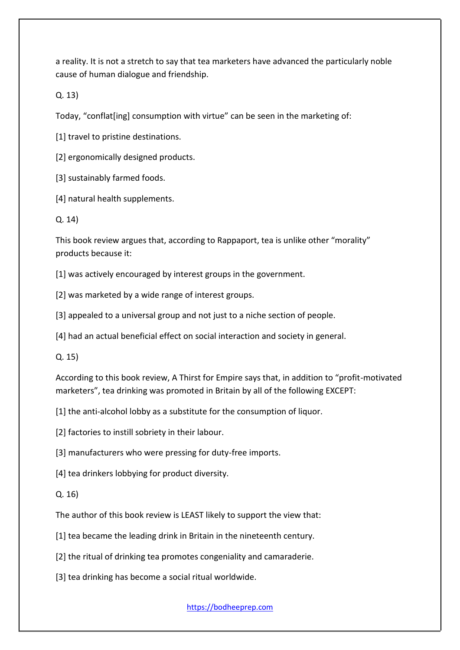a reality. It is not a stretch to say that tea marketers have advanced the particularly noble cause of human dialogue and friendship.

Q. 13)

Today, "conflat[ing] consumption with virtue" can be seen in the marketing of:

[1] travel to pristine destinations.

[2] ergonomically designed products.

[3] sustainably farmed foods.

[4] natural health supplements.

Q. 14)

This book review argues that, according to Rappaport, tea is unlike other "morality" products because it:

[1] was actively encouraged by interest groups in the government.

[2] was marketed by a wide range of interest groups.

[3] appealed to a universal group and not just to a niche section of people.

[4] had an actual beneficial effect on social interaction and society in general.

Q. 15)

According to this book review, A Thirst for Empire says that, in addition to "profit-motivated marketers", tea drinking was promoted in Britain by all of the following EXCEPT:

[1] the anti-alcohol lobby as a substitute for the consumption of liquor.

[2] factories to instill sobriety in their labour.

[3] manufacturers who were pressing for duty-free imports.

[4] tea drinkers lobbying for product diversity.

Q. 16)

The author of this book review is LEAST likely to support the view that:

[1] tea became the leading drink in Britain in the nineteenth century.

[2] the ritual of drinking tea promotes congeniality and camaraderie.

[3] tea drinking has become a social ritual worldwide.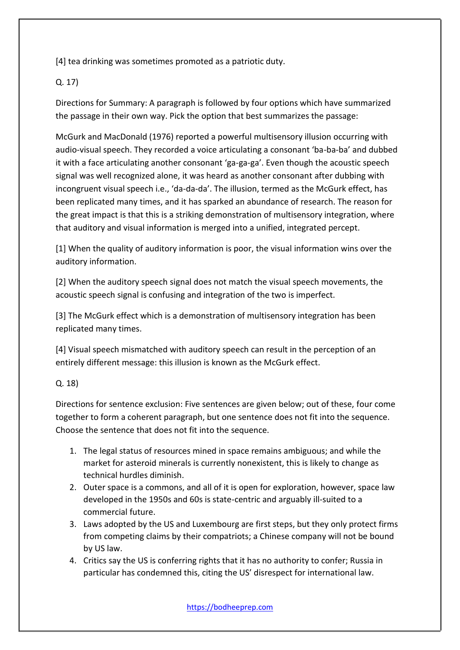[4] tea drinking was sometimes promoted as a patriotic duty.

# Q. 17)

Directions for Summary: A paragraph is followed by four options which have summarized the passage in their own way. Pick the option that best summarizes the passage:

McGurk and MacDonald (1976) reported a powerful multisensory illusion occurring with audio-visual speech. They recorded a voice articulating a consonant 'ba-ba-ba' and dubbed it with a face articulating another consonant 'ga-ga-ga'. Even though the acoustic speech signal was well recognized alone, it was heard as another consonant after dubbing with incongruent visual speech i.e., 'da-da-da'. The illusion, termed as the McGurk effect, has been replicated many times, and it has sparked an abundance of research. The reason for the great impact is that this is a striking demonstration of multisensory integration, where that auditory and visual information is merged into a unified, integrated percept.

[1] When the quality of auditory information is poor, the visual information wins over the auditory information.

[2] When the auditory speech signal does not match the visual speech movements, the acoustic speech signal is confusing and integration of the two is imperfect.

[3] The McGurk effect which is a demonstration of multisensory integration has been replicated many times.

[4] Visual speech mismatched with auditory speech can result in the perception of an entirely different message: this illusion is known as the McGurk effect.

# Q. 18)

Directions for sentence exclusion: Five sentences are given below; out of these, four come together to form a coherent paragraph, but one sentence does not fit into the sequence. Choose the sentence that does not fit into the sequence.

- 1. The legal status of resources mined in space remains ambiguous; and while the market for asteroid minerals is currently nonexistent, this is likely to change as technical hurdles diminish.
- 2. Outer space is a commons, and all of it is open for exploration, however, space law developed in the 1950s and 60s is state-centric and arguably ill-suited to a commercial future.
- 3. Laws adopted by the US and Luxembourg are first steps, but they only protect firms from competing claims by their compatriots; a Chinese company will not be bound by US law.
- 4. Critics say the US is conferring rights that it has no authority to confer; Russia in particular has condemned this, citing the US' disrespect for international law.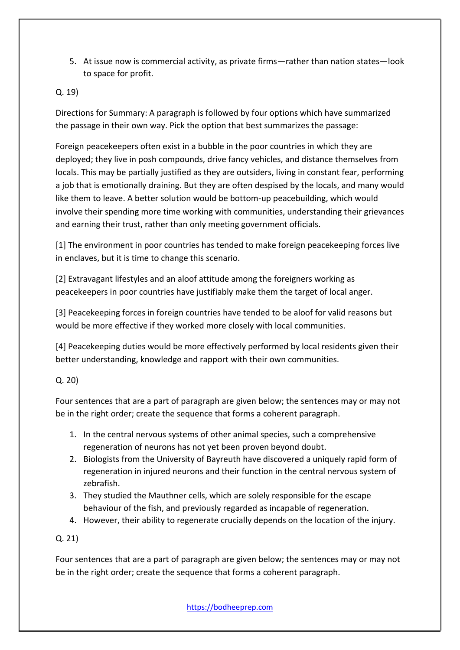5. At issue now is commercial activity, as private firms—rather than nation states—look to space for profit.

### Q. 19)

Directions for Summary: A paragraph is followed by four options which have summarized the passage in their own way. Pick the option that best summarizes the passage:

Foreign peacekeepers often exist in a bubble in the poor countries in which they are deployed; they live in posh compounds, drive fancy vehicles, and distance themselves from locals. This may be partially justified as they are outsiders, living in constant fear, performing a job that is emotionally draining. But they are often despised by the locals, and many would like them to leave. A better solution would be bottom-up peacebuilding, which would involve their spending more time working with communities, understanding their grievances and earning their trust, rather than only meeting government officials.

[1] The environment in poor countries has tended to make foreign peacekeeping forces live in enclaves, but it is time to change this scenario.

[2] Extravagant lifestyles and an aloof attitude among the foreigners working as peacekeepers in poor countries have justifiably make them the target of local anger.

[3] Peacekeeping forces in foreign countries have tended to be aloof for valid reasons but would be more effective if they worked more closely with local communities.

[4] Peacekeeping duties would be more effectively performed by local residents given their better understanding, knowledge and rapport with their own communities.

# Q. 20)

Four sentences that are a part of paragraph are given below; the sentences may or may not be in the right order; create the sequence that forms a coherent paragraph.

- 1. In the central nervous systems of other animal species, such a comprehensive regeneration of neurons has not yet been proven beyond doubt.
- 2. Biologists from the University of Bayreuth have discovered a uniquely rapid form of regeneration in injured neurons and their function in the central nervous system of zebrafish.
- 3. They studied the Mauthner cells, which are solely responsible for the escape behaviour of the fish, and previously regarded as incapable of regeneration.
- 4. However, their ability to regenerate crucially depends on the location of the injury.

# Q. 21)

Four sentences that are a part of paragraph are given below; the sentences may or may not be in the right order; create the sequence that forms a coherent paragraph.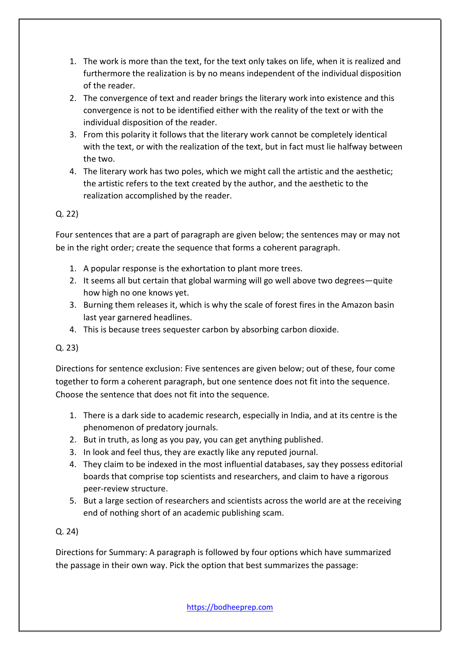- 1. The work is more than the text, for the text only takes on life, when it is realized and furthermore the realization is by no means independent of the individual disposition of the reader.
- 2. The convergence of text and reader brings the literary work into existence and this convergence is not to be identified either with the reality of the text or with the individual disposition of the reader.
- 3. From this polarity it follows that the literary work cannot be completely identical with the text, or with the realization of the text, but in fact must lie halfway between the two.
- 4. The literary work has two poles, which we might call the artistic and the aesthetic; the artistic refers to the text created by the author, and the aesthetic to the realization accomplished by the reader.

# Q. 22)

Four sentences that are a part of paragraph are given below; the sentences may or may not be in the right order; create the sequence that forms a coherent paragraph.

- 1. A popular response is the exhortation to plant more trees.
- 2. It seems all but certain that global warming will go well above two degrees—quite how high no one knows yet.
- 3. Burning them releases it, which is why the scale of forest fires in the Amazon basin last year garnered headlines.
- 4. This is because trees sequester carbon by absorbing carbon dioxide.

# Q. 23)

Directions for sentence exclusion: Five sentences are given below; out of these, four come together to form a coherent paragraph, but one sentence does not fit into the sequence. Choose the sentence that does not fit into the sequence.

- 1. There is a dark side to academic research, especially in India, and at its centre is the phenomenon of predatory journals.
- 2. But in truth, as long as you pay, you can get anything published.
- 3. In look and feel thus, they are exactly like any reputed journal.
- 4. They claim to be indexed in the most influential databases, say they possess editorial boards that comprise top scientists and researchers, and claim to have a rigorous peer-review structure.
- 5. But a large section of researchers and scientists across the world are at the receiving end of nothing short of an academic publishing scam.

### Q. 24)

Directions for Summary: A paragraph is followed by four options which have summarized the passage in their own way. Pick the option that best summarizes the passage: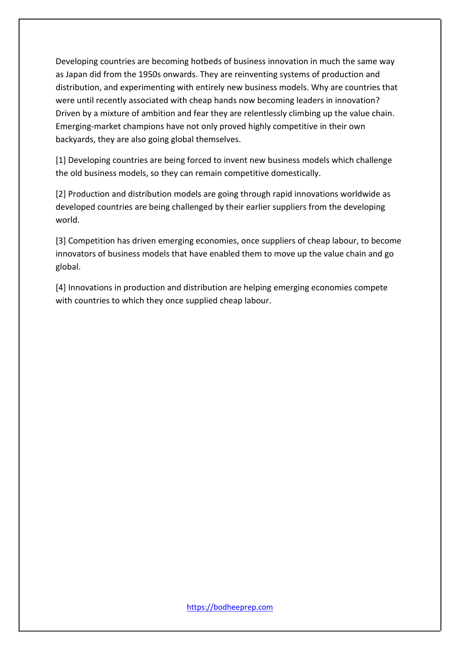Developing countries are becoming hotbeds of business innovation in much the same way as Japan did from the 1950s onwards. They are reinventing systems of production and distribution, and experimenting with entirely new business models. Why are countries that were until recently associated with cheap hands now becoming leaders in innovation? Driven by a mixture of ambition and fear they are relentlessly climbing up the value chain. Emerging-market champions have not only proved highly competitive in their own backyards, they are also going global themselves.

[1] Developing countries are being forced to invent new business models which challenge the old business models, so they can remain competitive domestically.

[2] Production and distribution models are going through rapid innovations worldwide as developed countries are being challenged by their earlier suppliers from the developing world.

[3] Competition has driven emerging economies, once suppliers of cheap labour, to become innovators of business models that have enabled them to move up the value chain and go global.

[4] Innovations in production and distribution are helping emerging economies compete with countries to which they once supplied cheap labour.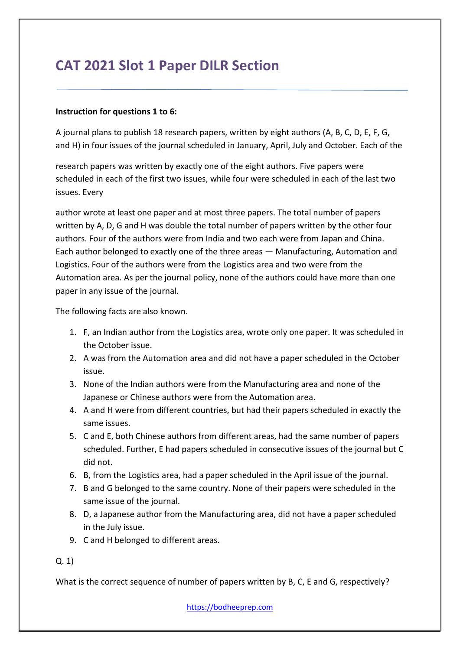# **CAT 2021 Slot 1 Paper DILR Section**

#### **Instruction for questions 1 to 6:**

A journal plans to publish 18 research papers, written by eight authors (A, B, C, D, E, F, G, and H) in four issues of the journal scheduled in January, April, July and October. Each of the

research papers was written by exactly one of the eight authors. Five papers were scheduled in each of the first two issues, while four were scheduled in each of the last two issues. Every

author wrote at least one paper and at most three papers. The total number of papers written by A, D, G and H was double the total number of papers written by the other four authors. Four of the authors were from India and two each were from Japan and China. Each author belonged to exactly one of the three areas — Manufacturing, Automation and Logistics. Four of the authors were from the Logistics area and two were from the Automation area. As per the journal policy, none of the authors could have more than one paper in any issue of the journal.

The following facts are also known.

- 1. F, an Indian author from the Logistics area, wrote only one paper. It was scheduled in the October issue.
- 2. A was from the Automation area and did not have a paper scheduled in the October issue.
- 3. None of the Indian authors were from the Manufacturing area and none of the Japanese or Chinese authors were from the Automation area.
- 4. A and H were from different countries, but had their papers scheduled in exactly the same issues.
- 5. C and E, both Chinese authors from different areas, had the same number of papers scheduled. Further, E had papers scheduled in consecutive issues of the journal but C did not.
- 6. B, from the Logistics area, had a paper scheduled in the April issue of the journal.
- 7. B and G belonged to the same country. None of their papers were scheduled in the same issue of the journal.
- 8. D, a Japanese author from the Manufacturing area, did not have a paper scheduled in the July issue.
- 9. C and H belonged to different areas.

Q. 1)

What is the correct sequence of number of papers written by B, C, E and G, respectively?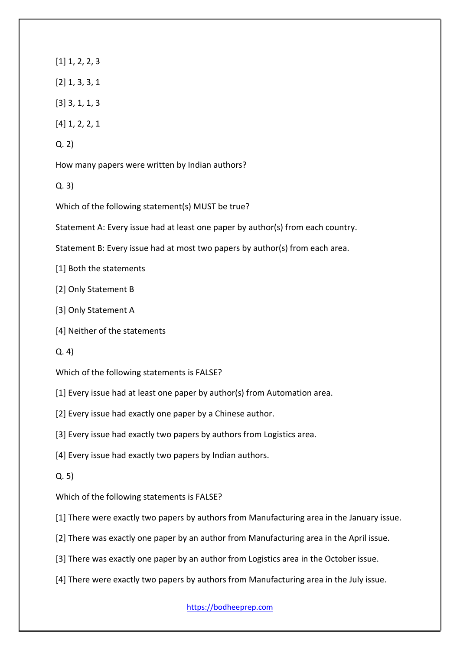[1] 1, 2, 2, 3

- [2] 1, 3, 3, 1
- [3] 3, 1, 1, 3
- [4] 1, 2, 2, 1
- Q. 2)

How many papers were written by Indian authors?

Q. 3)

Which of the following statement(s) MUST be true?

Statement A: Every issue had at least one paper by author(s) from each country.

Statement B: Every issue had at most two papers by author(s) from each area.

[1] Both the statements

[2] Only Statement B

[3] Only Statement A

- [4] Neither of the statements
- Q. 4)

Which of the following statements is FALSE?

[1] Every issue had at least one paper by author(s) from Automation area.

[2] Every issue had exactly one paper by a Chinese author.

[3] Every issue had exactly two papers by authors from Logistics area.

[4] Every issue had exactly two papers by Indian authors.

# Q. 5)

Which of the following statements is FALSE?

[1] There were exactly two papers by authors from Manufacturing area in the January issue.

[2] There was exactly one paper by an author from Manufacturing area in the April issue.

[3] There was exactly one paper by an author from Logistics area in the October issue.

[4] There were exactly two papers by authors from Manufacturing area in the July issue.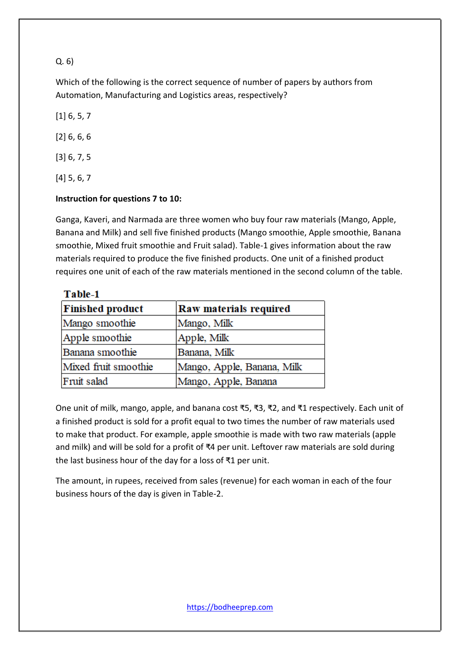### Q. 6)

Which of the following is the correct sequence of number of papers by authors from Automation, Manufacturing and Logistics areas, respectively?

[1] 6, 5, 7

[2] 6, 6, 6

[3] 6, 7, 5

[4] 5, 6, 7

### **Instruction for questions 7 to 10:**

Ganga, Kaveri, and Narmada are three women who buy four raw materials (Mango, Apple, Banana and Milk) and sell five finished products (Mango smoothie, Apple smoothie, Banana smoothie, Mixed fruit smoothie and Fruit salad). Table-1 gives information about the raw materials required to produce the five finished products. One unit of a finished product requires one unit of each of the raw materials mentioned in the second column of the table.

| Table-1                 |                            |  |  |
|-------------------------|----------------------------|--|--|
| <b>Finished product</b> | Raw materials required     |  |  |
| Mango smoothie          | Mango, Milk                |  |  |
| Apple smoothie          | Apple, Milk                |  |  |
| Banana smoothie         | Banana, Milk               |  |  |
| Mixed fruit smoothie    | Mango, Apple, Banana, Milk |  |  |
| Fruit salad             | Mango, Apple, Banana       |  |  |

One unit of milk, mango, apple, and banana cost ₹5, ₹3, ₹2, and ₹1 respectively. Each unit of a finished product is sold for a profit equal to two times the number of raw materials used to make that product. For example, apple smoothie is made with two raw materials (apple and milk) and will be sold for a profit of ₹4 per unit. Leftover raw materials are sold during the last business hour of the day for a loss of ₹1 per unit.

The amount, in rupees, received from sales (revenue) for each woman in each of the four business hours of the day is given in Table-2.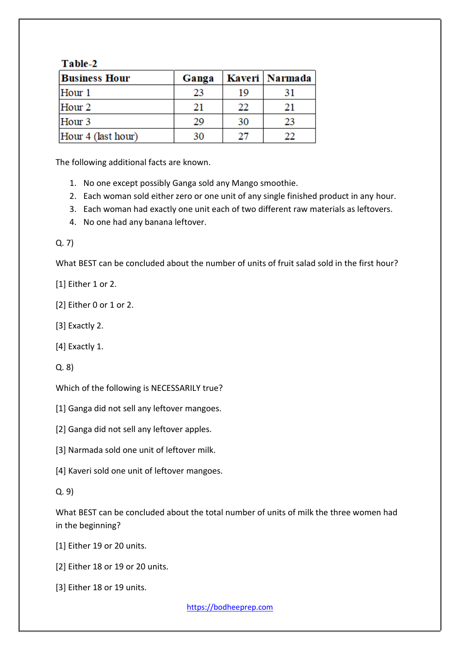| 1 я оне-2            |       |    |                  |  |  |
|----------------------|-------|----|------------------|--|--|
| <b>Business Hour</b> | Ganga |    | Kaveri   Narmada |  |  |
| Hour <sub>1</sub>    | 23    | 19 | 31               |  |  |
| Hour <sub>2</sub>    | 21    | 22 | 21               |  |  |
| Hour <sub>3</sub>    | 29    | 30 | 23               |  |  |
| Hour 4 (last hour)   | 30    | 27 | フフ               |  |  |

The following additional facts are known.

- 1. No one except possibly Ganga sold any Mango smoothie.
- 2. Each woman sold either zero or one unit of any single finished product in any hour.
- 3. Each woman had exactly one unit each of two different raw materials as leftovers.
- 4. No one had any banana leftover.

### Q. 7)

Table 2

What BEST can be concluded about the number of units of fruit salad sold in the first hour?

[1] Either 1 or 2.

- [2] Either 0 or 1 or 2.
- [3] Exactly 2.
- [4] Exactly 1.

Q. 8)

Which of the following is NECESSARILY true?

- [1] Ganga did not sell any leftover mangoes.
- [2] Ganga did not sell any leftover apples.
- [3] Narmada sold one unit of leftover milk.
- [4] Kaveri sold one unit of leftover mangoes.

### Q. 9)

What BEST can be concluded about the total number of units of milk the three women had in the beginning?

- [1] Either 19 or 20 units.
- [2] Either 18 or 19 or 20 units.
- [3] Either 18 or 19 units.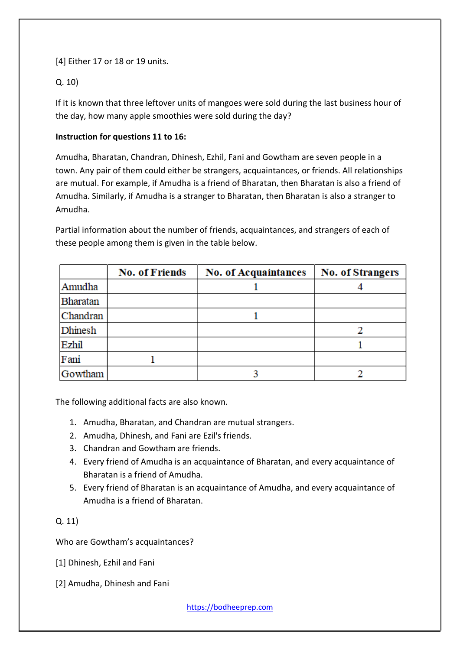### [4] Either 17 or 18 or 19 units.

### Q. 10)

If it is known that three leftover units of mangoes were sold during the last business hour of the day, how many apple smoothies were sold during the day?

### **Instruction for questions 11 to 16:**

Amudha, Bharatan, Chandran, Dhinesh, Ezhil, Fani and Gowtham are seven people in a town. Any pair of them could either be strangers, acquaintances, or friends. All relationships are mutual. For example, if Amudha is a friend of Bharatan, then Bharatan is also a friend of Amudha. Similarly, if Amudha is a stranger to Bharatan, then Bharatan is also a stranger to Amudha.

Partial information about the number of friends, acquaintances, and strangers of each of these people among them is given in the table below.

|          | <b>No. of Friends</b> | <b>No. of Acquaintances</b> | <b>No. of Strangers</b> |
|----------|-----------------------|-----------------------------|-------------------------|
| Amudha   |                       |                             |                         |
| Bharatan |                       |                             |                         |
| Chandran |                       |                             |                         |
| Dhinesh  |                       |                             |                         |
| Ezhil    |                       |                             |                         |
| Fani     |                       |                             |                         |
| Gowtham  |                       |                             |                         |

The following additional facts are also known.

- 1. Amudha, Bharatan, and Chandran are mutual strangers.
- 2. Amudha, Dhinesh, and Fani are Ezil's friends.
- 3. Chandran and Gowtham are friends.
- 4. Every friend of Amudha is an acquaintance of Bharatan, and every acquaintance of Bharatan is a friend of Amudha.
- 5. Every friend of Bharatan is an acquaintance of Amudha, and every acquaintance of Amudha is a friend of Bharatan.

Q. 11)

Who are Gowtham's acquaintances?

- [1] Dhinesh, Ezhil and Fani
- [2] Amudha, Dhinesh and Fani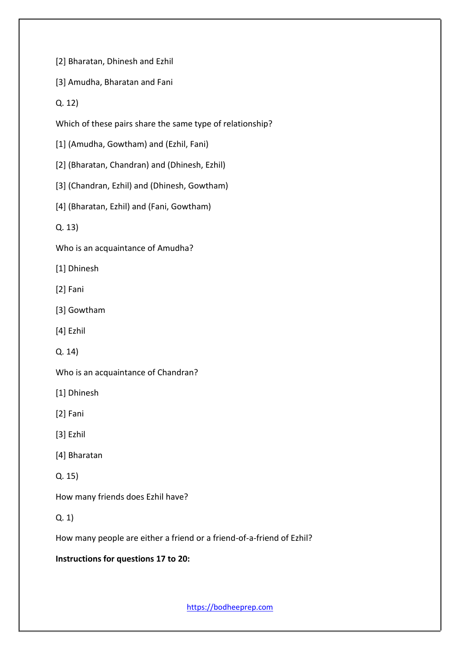[2] Bharatan, Dhinesh and Ezhil

[3] Amudha, Bharatan and Fani

Q. 12)

Which of these pairs share the same type of relationship?

[1] (Amudha, Gowtham) and (Ezhil, Fani)

[2] (Bharatan, Chandran) and (Dhinesh, Ezhil)

[3] (Chandran, Ezhil) and (Dhinesh, Gowtham)

[4] (Bharatan, Ezhil) and (Fani, Gowtham)

Q. 13)

Who is an acquaintance of Amudha?

[1] Dhinesh

[2] Fani

[3] Gowtham

[4] Ezhil

Q. 14)

Who is an acquaintance of Chandran?

[1] Dhinesh

[2] Fani

[3] Ezhil

[4] Bharatan

Q. 15)

How many friends does Ezhil have?

Q. 1)

How many people are either a friend or a friend-of-a-friend of Ezhil?

**Instructions for questions 17 to 20:**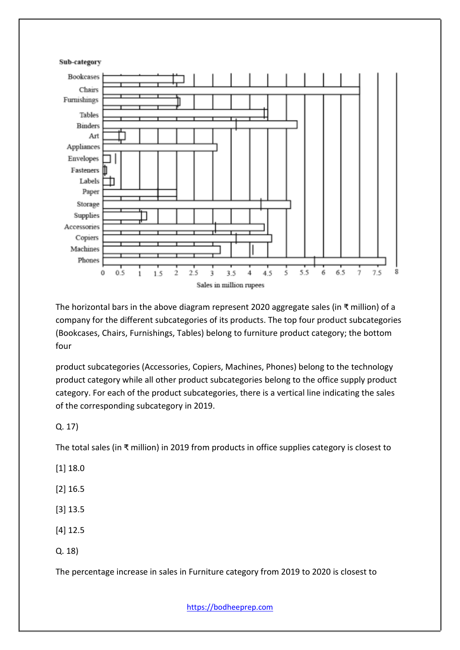

The horizontal bars in the above diagram represent 2020 aggregate sales (in ₹ million) of a company for the different subcategories of its products. The top four product subcategories (Bookcases, Chairs, Furnishings, Tables) belong to furniture product category; the bottom four

product subcategories (Accessories, Copiers, Machines, Phones) belong to the technology product category while all other product subcategories belong to the office supply product category. For each of the product subcategories, there is a vertical line indicating the sales of the corresponding subcategory in 2019.

Q. 17)

The total sales (in ₹ million) in 2019 from products in office supplies category is closest to

[1] 18.0

[2] 16.5

[3] 13.5

[4] 12.5

Q. 18)

The percentage increase in sales in Furniture category from 2019 to 2020 is closest to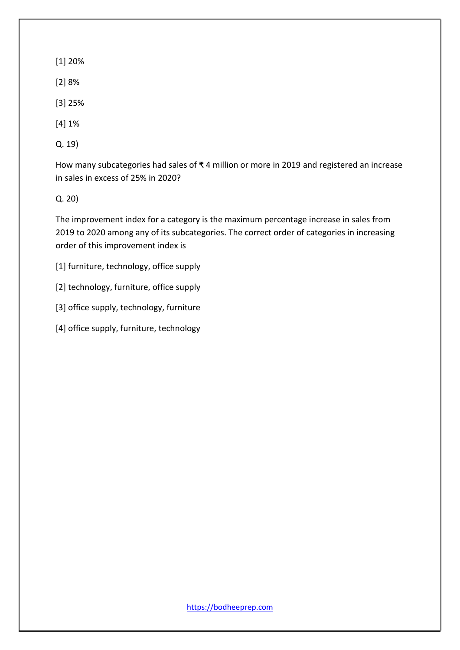[1] 20%

- [2] 8%
- [3] 25%
- [4] 1%
- Q. 19)

How many subcategories had sales of ₹ 4 million or more in 2019 and registered an increase in sales in excess of 25% in 2020?

Q. 20)

The improvement index for a category is the maximum percentage increase in sales from 2019 to 2020 among any of its subcategories. The correct order of categories in increasing order of this improvement index is

[1] furniture, technology, office supply

[2] technology, furniture, office supply

[3] office supply, technology, furniture

[4] office supply, furniture, technology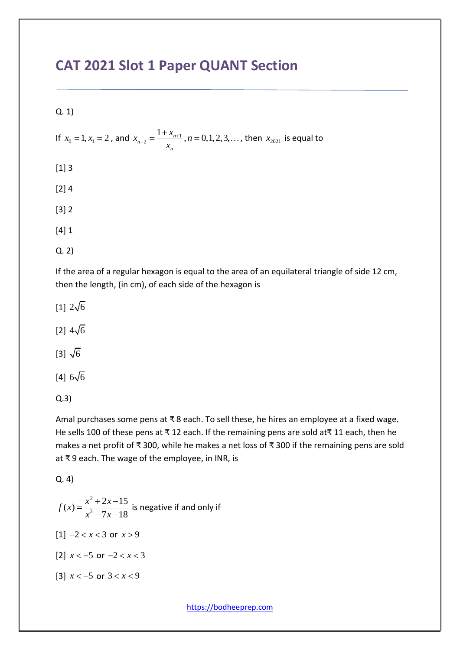# **CAT 2021 Slot 1 Paper QUANT Section**

Q. 1)

If  $x_0 = 1, x_1 = 2$ , and  $x_{n+2} = \frac{1 + x_{n+1}}{2}$  $\sum_{n+2} = \frac{1 + x_{n+1}}{n}, n = 0, 1, 2, 3,$ *n*  $x_{n+2} = \frac{1 + x_{n+1}}{x_n}, n$  $_{+2} = \frac{1 + \lambda_{n+1}}{n}$  $=\frac{1+x_{n+1}}{n}, n = 0, 1, 2, 3, ...$ , then  $x_{2021}$  is equal to

- [1] 3
- $[2] 4$
- [3] 2
- $[4] 1$
- Q. 2)

If the area of a regular hexagon is equal to the area of an equilateral triangle of side 12 cm, then the length, (in cm), of each side of the hexagon is

 $[1] 2\sqrt{6}$ 

 $[2]$  4 $\sqrt{6}$ 

 $[3] \sqrt{6}$ 

 $[4] 6\sqrt{6}$ 

Q.3)

Amal purchases some pens at ₹ 8 each. To sell these, he hires an employee at a fixed wage. He sells 100 of these pens at ₹ 12 each. If the remaining pens are sold at₹ 11 each, then he makes a net profit of ₹ 300, while he makes a net loss of ₹ 300 if the remaining pens are sold at ₹ 9 each. The wage of the employee, in INR, is

Q. 4)

- 2  $(x) = \frac{x^2 + 2x - 15}{x^2 - 7x - 18}$  $\frac{7x-18}{x-1}$  $f(x) = \frac{x^2 + 2x}{x^2}$  $\sqrt{x^2-7x}$  $=\frac{x^2+2x-15}{x^2-7x-18}$  is negative if and only if
- $[1]$   $-2 < x < 3$  or  $x > 9$
- $[2]$   $x < -5$  or  $-2 < x < 3$
- $[3]$   $x < -5$  or  $3 < x < 9$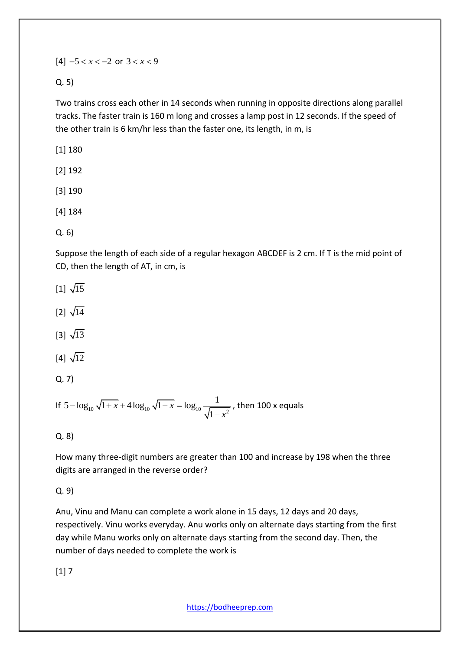$[4]$   $-5 < x < -2$  or  $3 < x < 9$ 

Q. 5)

Two trains cross each other in 14 seconds when running in opposite directions along parallel tracks. The faster train is 160 m long and crosses a lamp post in 12 seconds. If the speed of the other train is 6 km/hr less than the faster one, its length, in m, is

[1] 180

[2] 192

[3] 190

[4] 184

Q. 6)

Suppose the length of each side of a regular hexagon ABCDEF is 2 cm. If T is the mid point of CD, then the length of AT, in cm, is

 $[1] \sqrt{15}$ 

 $[2] \sqrt{14}$ 

- $[3] \sqrt{13}$
- $[4] \sqrt{12}$

Q. 7)

If  $5 - \log_{10} \sqrt{1 + x} + 4\log_{10} \sqrt{1 - x} = \log_{10} \frac{1}{\sqrt{1 - x^2}}$  $5 - \log_{10} \sqrt{1 + x} + 4 \log_{10} \sqrt{1 - x} = \log_{10} \frac{1}{\sqrt{1 - x}}$ , then 100 x equals

Q. 8)

How many three-digit numbers are greater than 100 and increase by 198 when the three digits are arranged in the reverse order?

Q. 9)

Anu, Vinu and Manu can complete a work alone in 15 days, 12 days and 20 days, respectively. Vinu works everyday. Anu works only on alternate days starting from the first day while Manu works only on alternate days starting from the second day. Then, the number of days needed to complete the work is

 $[1] 7$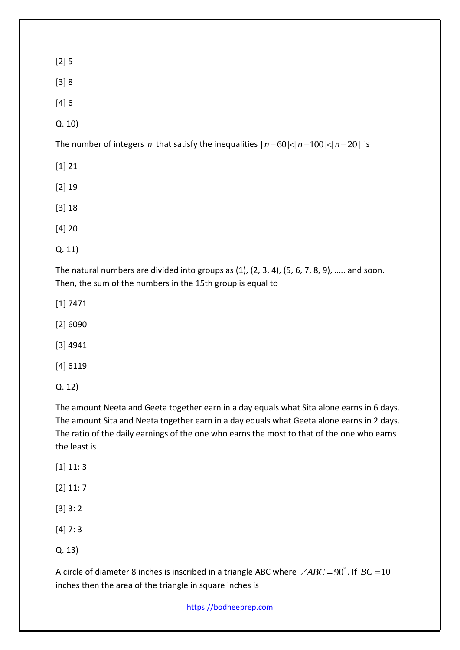[2] 5

[3] 8

[4] 6

Q. 10)

The number of integers *n* that satisfy the inequalities  $|n-60| \leq n-100 \leq n-20$  is

[1] 21

[2] 19

[3] 18

[4] 20

Q. 11)

The natural numbers are divided into groups as (1), (2, 3, 4), (5, 6, 7, 8, 9), ..... and soon. Then, the sum of the numbers in the 15th group is equal to

[1] 7471

[2] 6090

[3] 4941

[4] 6119

Q. 12)

The amount Neeta and Geeta together earn in a day equals what Sita alone earns in 6 days. The amount Sita and Neeta together earn in a day equals what Geeta alone earns in 2 days. The ratio of the daily earnings of the one who earns the most to that of the one who earns the least is

[1] 11: 3

[2] 11: 7

[3] 3: 2

[4] 7: 3

Q. 13)

A circle of diameter 8 inches is inscribed in a triangle ABC where  $\angle ABC = 90^\circ$  . If  $BC = 10^\circ$ inches then the area of the triangle in square inches is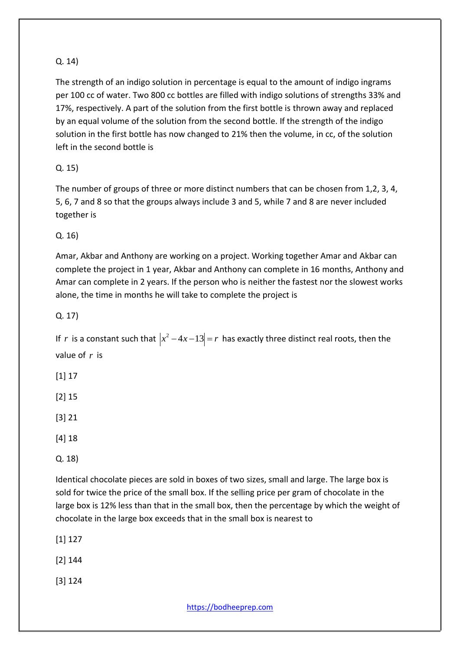# Q. 14)

The strength of an indigo solution in percentage is equal to the amount of indigo ingrams per 100 cc of water. Two 800 cc bottles are filled with indigo solutions of strengths 33% and 17%, respectively. A part of the solution from the first bottle is thrown away and replaced by an equal volume of the solution from the second bottle. If the strength of the indigo solution in the first bottle has now changed to 21% then the volume, in cc, of the solution left in the second bottle is

# Q. 15)

The number of groups of three or more distinct numbers that can be chosen from 1,2, 3, 4, 5, 6, 7 and 8 so that the groups always include 3 and 5, while 7 and 8 are never included together is

Q. 16)

Amar, Akbar and Anthony are working on a project. Working together Amar and Akbar can complete the project in 1 year, Akbar and Anthony can complete in 16 months, Anthony and Amar can complete in 2 years. If the person who is neither the fastest nor the slowest works alone, the time in months he will take to complete the project is

# Q. 17)

If r is a constant such that  $|x^2-4x-13|=r$  has exactly three distinct real roots, then the value of *r* is

[1] 17

[2] 15

[3] 21

[4] 18

Q. 18)

Identical chocolate pieces are sold in boxes of two sizes, small and large. The large box is sold for twice the price of the small box. If the selling price per gram of chocolate in the large box is 12% less than that in the small box, then the percentage by which the weight of chocolate in the large box exceeds that in the small box is nearest to

[1] 127

[2] 144

[3] 124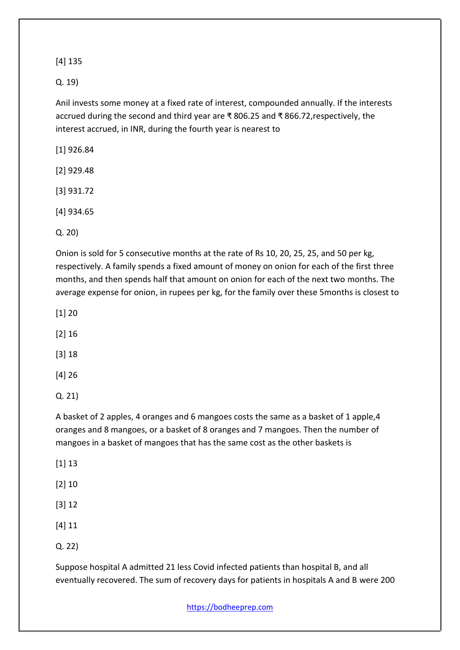[4] 135

Q. 19)

Anil invests some money at a fixed rate of interest, compounded annually. If the interests accrued during the second and third year are ₹ 806.25 and ₹ 866.72,respectively, the interest accrued, in INR, during the fourth year is nearest to

[1] 926.84

[2] 929.48

[3] 931.72

[4] 934.65

Q. 20)

Onion is sold for 5 consecutive months at the rate of Rs 10, 20, 25, 25, and 50 per kg, respectively. A family spends a fixed amount of money on onion for each of the first three months, and then spends half that amount on onion for each of the next two months. The average expense for onion, in rupees per kg, for the family over these 5months is closest to

[1] 20

[2] 16

[3] 18

[4] 26

Q. 21)

A basket of 2 apples, 4 oranges and 6 mangoes costs the same as a basket of 1 apple,4 oranges and 8 mangoes, or a basket of 8 oranges and 7 mangoes. Then the number of mangoes in a basket of mangoes that has the same cost as the other baskets is

[1] 13

[2] 10

[3] 12

[4] 11

Q. 22)

Suppose hospital A admitted 21 less Covid infected patients than hospital B, and all eventually recovered. The sum of recovery days for patients in hospitals A and B were 200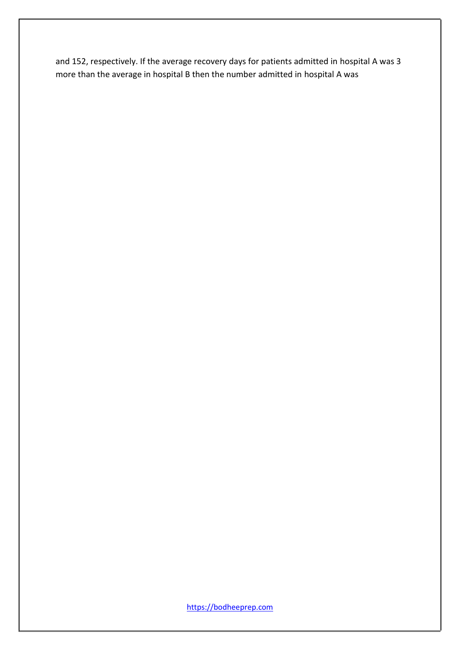and 152, respectively. If the average recovery days for patients admitted in hospital A was 3 more than the average in hospital B then the number admitted in hospital A was